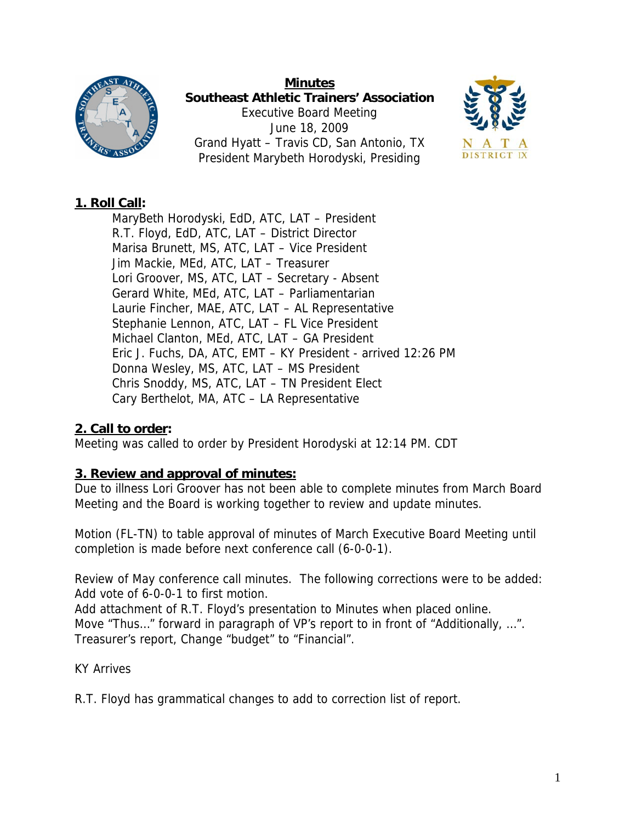

**Minutes Southeast Athletic Trainers' Association**  Executive Board Meeting June 18, 2009 Grand Hyatt – Travis CD, San Antonio, TX President Marybeth Horodyski, Presiding



## **1. Roll Call:**

MaryBeth Horodyski, EdD, ATC, LAT – President R.T. Floyd, EdD, ATC, LAT – District Director Marisa Brunett, MS, ATC, LAT – Vice President Jim Mackie, MEd, ATC, LAT – Treasurer Lori Groover, MS, ATC, LAT – Secretary - Absent Gerard White, MEd, ATC, LAT – Parliamentarian Laurie Fincher, MAE, ATC, LAT – AL Representative Stephanie Lennon, ATC, LAT – FL Vice President Michael Clanton, MEd, ATC, LAT – GA President Eric J. Fuchs, DA, ATC, EMT – KY President - arrived 12:26 PM Donna Wesley, MS, ATC, LAT – MS President Chris Snoddy, MS, ATC, LAT – TN President Elect Cary Berthelot, MA, ATC – LA Representative

## **2. Call to order:**

Meeting was called to order by President Horodyski at 12:14 PM. CDT

## **3. Review and approval of minutes:**

Due to illness Lori Groover has not been able to complete minutes from March Board Meeting and the Board is working together to review and update minutes.

Motion (FL-TN) to table approval of minutes of March Executive Board Meeting until completion is made before next conference call (6-0-0-1).

Review of May conference call minutes. The following corrections were to be added: Add vote of 6-0-0-1 to first motion.

Add attachment of R.T. Floyd's presentation to Minutes when placed online. Move "Thus..." forward in paragraph of VP's report to in front of "Additionally, ...". Treasurer's report, Change "budget" to "Financial".

## KY Arrives

R.T. Floyd has grammatical changes to add to correction list of report.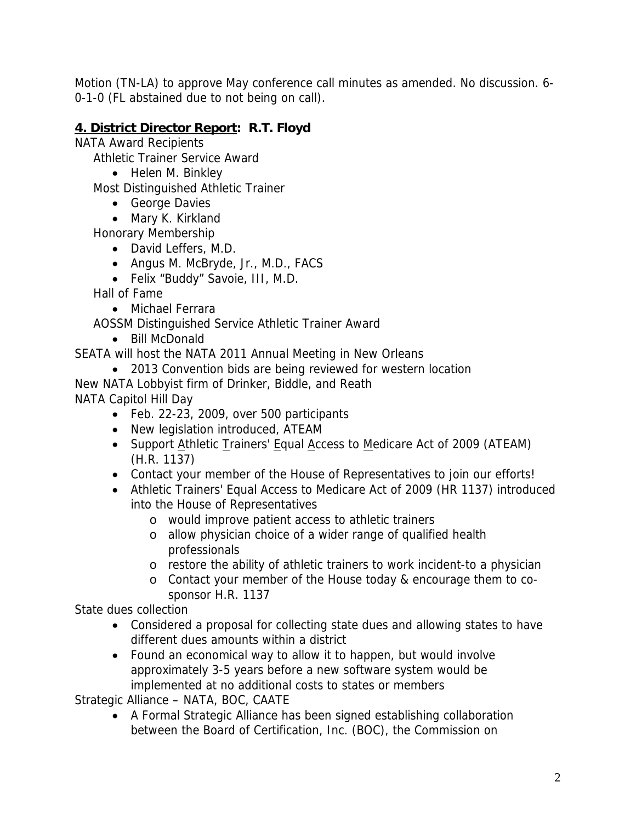Motion (TN-LA) to approve May conference call minutes as amended. No discussion. 6- 0-1-0 (FL abstained due to not being on call).

# **4. District Director Report: R.T. Floyd**

NATA Award Recipients

Athletic Trainer Service Award

• Helen M. Binkley

Most Distinguished Athletic Trainer

- George Davies
- Mary K. Kirkland

Honorary Membership

- David Leffers, M.D.
- Angus M. McBryde, Jr., M.D., FACS
- Felix "Buddy" Savoie, III, M.D.

Hall of Fame

• Michael Ferrara

AOSSM Distinguished Service Athletic Trainer Award

• Bill McDonald

SEATA will host the NATA 2011 Annual Meeting in New Orleans

• 2013 Convention bids are being reviewed for western location

New NATA Lobbyist firm of Drinker, Biddle, and Reath NATA Capitol Hill Day

- Feb. 22-23, 2009, over 500 participants
- New legislation introduced, ATEAM
- Support Athletic Trainers' Equal Access to Medicare Act of 2009 (ATEAM) (H.R. 1137)
- Contact your member of the House of Representatives to join our efforts!
- Athletic Trainers' Equal Access to Medicare Act of 2009 (HR 1137) introduced into the House of Representatives
	- o would improve patient access to athletic trainers
	- o allow physician choice of a wider range of qualified health professionals
	- o restore the ability of athletic trainers to work incident-to a physician
	- o Contact your member of the House today & encourage them to cosponsor H.R. 1137

State dues collection

- Considered a proposal for collecting state dues and allowing states to have different dues amounts within a district
- Found an economical way to allow it to happen, but would involve approximately 3-5 years before a new software system would be implemented at no additional costs to states or members

Strategic Alliance – NATA, BOC, CAATE

• A Formal Strategic Alliance has been signed establishing collaboration between the Board of Certification, Inc. (BOC), the Commission on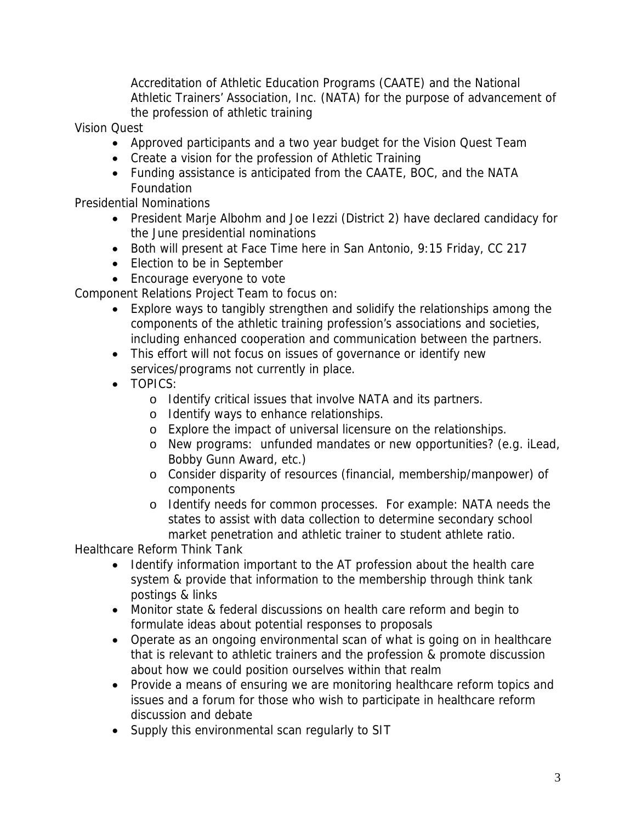Accreditation of Athletic Education Programs (CAATE) and the National Athletic Trainers' Association, Inc. (NATA) for the purpose of advancement of the profession of athletic training

Vision Quest

- Approved participants and a two year budget for the Vision Quest Team
- Create a vision for the profession of Athletic Training
- Funding assistance is anticipated from the CAATE, BOC, and the NATA Foundation

Presidential Nominations

- President Marje Albohm and Joe Iezzi (District 2) have declared candidacy for the June presidential nominations
- Both will present at Face Time here in San Antonio, 9:15 Friday, CC 217
- Election to be in September
- Encourage everyone to vote

Component Relations Project Team to focus on:

- Explore ways to tangibly strengthen and solidify the relationships among the components of the athletic training profession's associations and societies, including enhanced cooperation and communication between the partners.
- This effort will not focus on issues of governance or identify new services/programs not currently in place.
- TOPICS:
	- o Identify critical issues that involve NATA and its partners.
	- o Identify ways to enhance relationships.
	- o Explore the impact of universal licensure on the relationships.
	- o New programs: unfunded mandates or new opportunities? (e.g. iLead, Bobby Gunn Award, etc.)
	- o Consider disparity of resources (financial, membership/manpower) of components
	- o Identify needs for common processes. For example: NATA needs the states to assist with data collection to determine secondary school market penetration and athletic trainer to student athlete ratio.

Healthcare Reform Think Tank

- Identify information important to the AT profession about the health care system & provide that information to the membership through think tank postings & links
- Monitor state & federal discussions on health care reform and begin to formulate ideas about potential responses to proposals
- Operate as an ongoing environmental scan of what is going on in healthcare that is relevant to athletic trainers and the profession & promote discussion about how we could position ourselves within that realm
- Provide a means of ensuring we are monitoring healthcare reform topics and issues and a forum for those who wish to participate in healthcare reform discussion and debate
- Supply this environmental scan regularly to SIT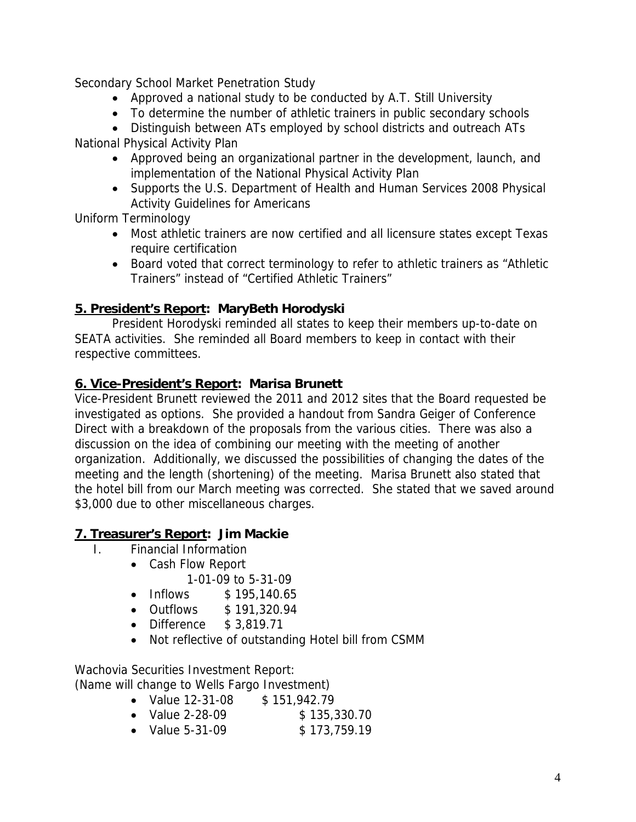Secondary School Market Penetration Study

- Approved a national study to be conducted by A.T. Still University
- To determine the number of athletic trainers in public secondary schools

• Distinguish between ATs employed by school districts and outreach ATs

National Physical Activity Plan

- Approved being an organizational partner in the development, launch, and implementation of the National Physical Activity Plan
- Supports the U.S. Department of Health and Human Services 2008 Physical Activity Guidelines for Americans

Uniform Terminology

- Most athletic trainers are now certified and all licensure states except Texas require certification
- Board voted that correct terminology to refer to athletic trainers as "Athletic Trainers" instead of "Certified Athletic Trainers"

## **5. President's Report: MaryBeth Horodyski**

 President Horodyski reminded all states to keep their members up-to-date on SEATA activities. She reminded all Board members to keep in contact with their respective committees.

## **6. Vice-President's Report: Marisa Brunett**

Vice-President Brunett reviewed the 2011 and 2012 sites that the Board requested be investigated as options. She provided a handout from Sandra Geiger of Conference Direct with a breakdown of the proposals from the various cities. There was also a discussion on the idea of combining our meeting with the meeting of another organization. Additionally, we discussed the possibilities of changing the dates of the meeting and the length (shortening) of the meeting. Marisa Brunett also stated that the hotel bill from our March meeting was corrected. She stated that we saved around \$3,000 due to other miscellaneous charges.

## **7. Treasurer's Report: Jim Mackie**

- I. Financial Information
	- Cash Flow Report
		- 1-01-09 to 5-31-09
		- Inflows \$195,140.65
		- Outflows \$ 191,320.94
		- Difference \$ 3,819.71
		- Not reflective of outstanding Hotel bill from CSMM

Wachovia Securities Investment Report: (Name will change to Wells Fargo Investment)

- Value 12-31-08 \$ 151,942.79
- Value 2-28-09 \$ 135,330.70
- Value 5-31-09 \$ 173,759.19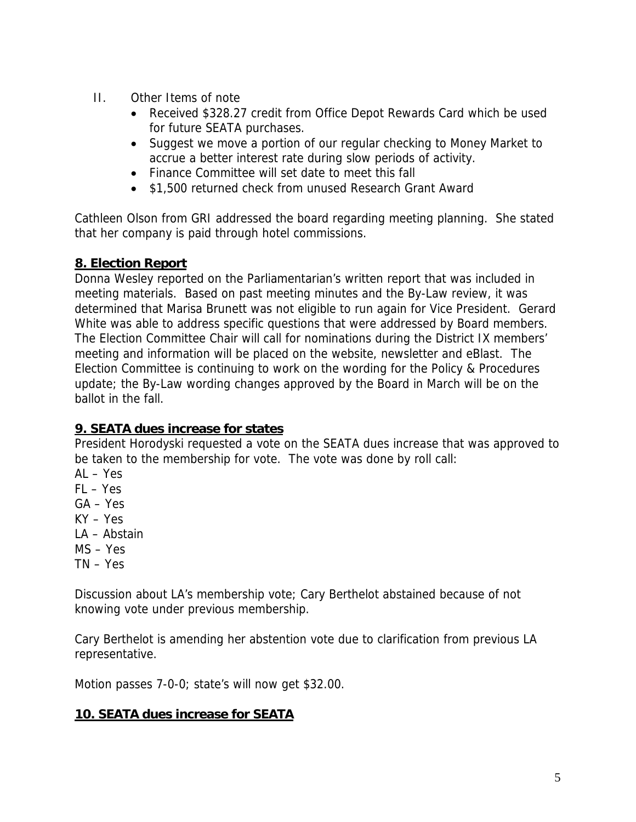- II. Other Items of note
	- Received \$328.27 credit from Office Depot Rewards Card which be used for future SEATA purchases.
	- Suggest we move a portion of our regular checking to Money Market to accrue a better interest rate during slow periods of activity.
	- Finance Committee will set date to meet this fall
	- \$1,500 returned check from unused Research Grant Award

Cathleen Olson from GRI addressed the board regarding meeting planning. She stated that her company is paid through hotel commissions.

## **8. Election Report**

Donna Wesley reported on the Parliamentarian's written report that was included in meeting materials. Based on past meeting minutes and the By-Law review, it was determined that Marisa Brunett was not eligible to run again for Vice President. Gerard White was able to address specific questions that were addressed by Board members. The Election Committee Chair will call for nominations during the District IX members' meeting and information will be placed on the website, newsletter and eBlast. The Election Committee is continuing to work on the wording for the Policy & Procedures update; the By-Law wording changes approved by the Board in March will be on the ballot in the fall.

## **9. SEATA dues increase for states**

President Horodyski requested a vote on the SEATA dues increase that was approved to be taken to the membership for vote. The vote was done by roll call:

- AL Yes
- FL Yes
- GA Yes
- KY Yes
- LA Abstain
- MS Yes
- TN Yes

Discussion about LA's membership vote; Cary Berthelot abstained because of not knowing vote under previous membership.

Cary Berthelot is amending her abstention vote due to clarification from previous LA representative.

Motion passes 7-0-0; state's will now get \$32.00.

## **10. SEATA dues increase for SEATA**